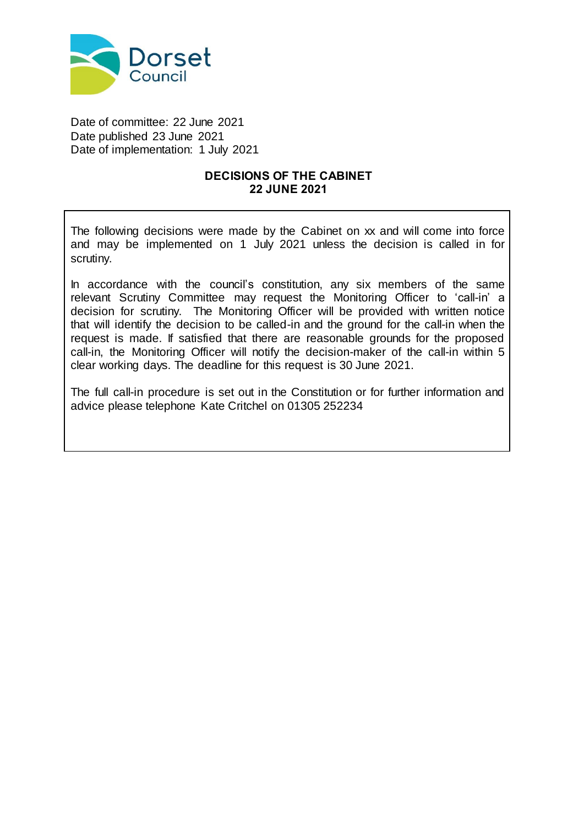

Date of committee: 22 June 2021 Date published 23 June 2021 Date of implementation: 1 July 2021

# **DECISIONS OF THE CABINET 22 JUNE 2021**

The following decisions were made by the Cabinet on xx and will come into force and may be implemented on 1 July 2021 unless the decision is called in for scrutiny.

In accordance with the council's constitution, any six members of the same relevant Scrutiny Committee may request the Monitoring Officer to 'call-in' a decision for scrutiny. The Monitoring Officer will be provided with written notice that will identify the decision to be called-in and the ground for the call-in when the request is made. If satisfied that there are reasonable grounds for the proposed call-in, the Monitoring Officer will notify the decision-maker of the call-in within 5 clear working days. The deadline for this request is 30 June 2021.

The full call-in procedure is set out in the Constitution or for further information and advice please telephone Kate Critchel on 01305 252234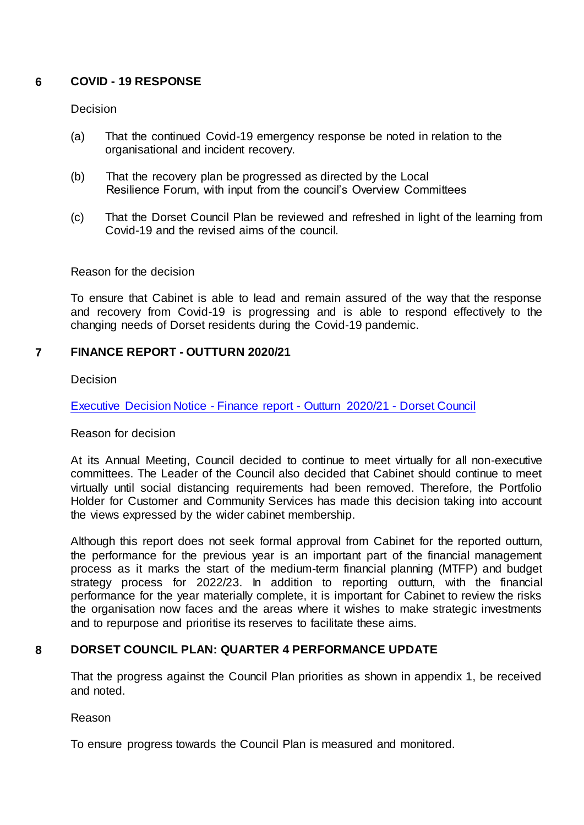# **6 COVID - 19 RESPONSE**

### Decision

- (a) That the continued Covid-19 emergency response be noted in relation to the organisational and incident recovery.
- (b) That the recovery plan be progressed as directed by the Local Resilience Forum, with input from the council's Overview Committees
- (c) That the Dorset Council Plan be reviewed and refreshed in light of the learning from Covid-19 and the revised aims of the council.

### Reason for the decision

To ensure that Cabinet is able to lead and remain assured of the way that the response and recovery from Covid-19 is progressing and is able to respond effectively to the changing needs of Dorset residents during the Covid-19 pandemic.

# **7 FINANCE REPORT - OUTTURN 2020/21**

**Decision** 

[Executive Decision Notice -](https://moderngov.dorsetcouncil.gov.uk/ieDecisionDetails.aspx?ID=606) Finance report - Outturn 2020/21 - Dorset Council

# Reason for decision

At its Annual Meeting, Council decided to continue to meet virtually for all non-executive committees. The Leader of the Council also decided that Cabinet should continue to meet virtually until social distancing requirements had been removed. Therefore, the Portfolio Holder for Customer and Community Services has made this decision taking into account the views expressed by the wider cabinet membership.

Although this report does not seek formal approval from Cabinet for the reported outturn, the performance for the previous year is an important part of the financial management process as it marks the start of the medium-term financial planning (MTFP) and budget strategy process for 2022/23. In addition to reporting outturn, with the financial performance for the year materially complete, it is important for Cabinet to review the risks the organisation now faces and the areas where it wishes to make strategic investments and to repurpose and prioritise its reserves to facilitate these aims.

# **8 DORSET COUNCIL PLAN: QUARTER 4 PERFORMANCE UPDATE**

That the progress against the Council Plan priorities as shown in appendix 1, be received and noted.

Reason

To ensure progress towards the Council Plan is measured and monitored.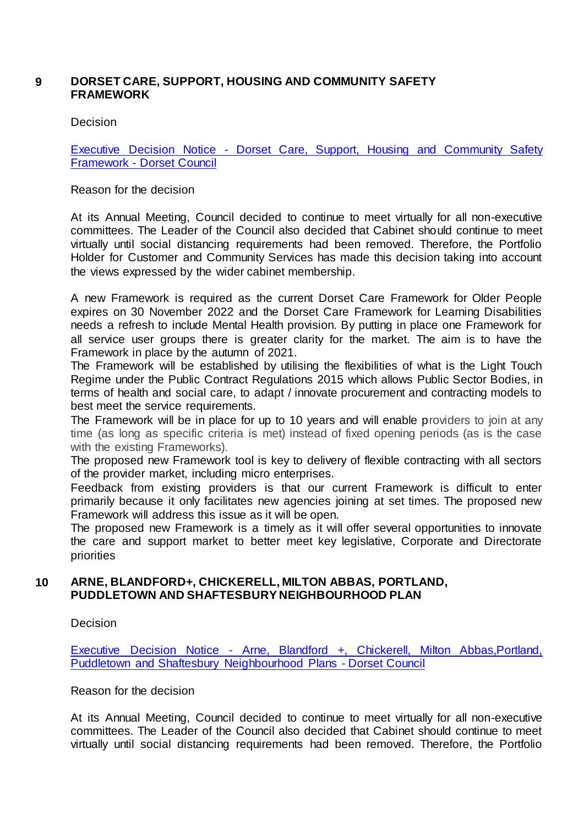# **9 DORSET CARE, SUPPORT, HOUSING AND COMMUNITY SAFETY FRAMEWORK**

### Decision

Executive Decision Notice - [Dorset Care, Support, Housing and Community Safety](https://moderngov.dorsetcouncil.gov.uk/ieDecisionDetails.aspx?ID=607)  Framework - [Dorset Council](https://moderngov.dorsetcouncil.gov.uk/ieDecisionDetails.aspx?ID=607)

### Reason for the decision

At its Annual Meeting, Council decided to continue to meet virtually for all non-executive committees. The Leader of the Council also decided that Cabinet should continue to meet virtually until social distancing requirements had been removed. Therefore, the Portfolio Holder for Customer and Community Services has made this decision taking into account the views expressed by the wider cabinet membership.

A new Framework is required as the current Dorset Care Framework for Older People expires on 30 November 2022 and the Dorset Care Framework for Learning Disabilities needs a refresh to include Mental Health provision. By putting in place one Framework for all service user groups there is greater clarity for the market. The aim is to have the Framework in place by the autumn of 2021.

The Framework will be established by utilising the flexibilities of what is the Light Touch Regime under the Public Contract Regulations 2015 which allows Public Sector Bodies, in terms of health and social care, to adapt / innovate procurement and contracting models to best meet the service requirements.

The Framework will be in place for up to 10 years and will enable providers to join at any time (as long as specific criteria is met) instead of fixed opening periods (as is the case with the existing Frameworks).

The proposed new Framework tool is key to delivery of flexible contracting with all sectors of the provider market, including micro enterprises.

Feedback from existing providers is that our current Framework is difficult to enter primarily because it only facilitates new agencies joining at set times. The proposed new Framework will address this issue as it will be open.

The proposed new Framework is a timely as it will offer several opportunities to innovate the care and support market to better meet key legislative, Corporate and Directorate priorities

# **10 ARNE, BLANDFORD+, CHICKERELL, MILTON ABBAS, PORTLAND, PUDDLETOWN AND SHAFTESBURY NEIGHBOURHOOD PLAN**

#### Decision

Executive Decision Notice - [Arne, Blandford +, Chickerell, Milton Abbas,Portland,](https://moderngov.dorsetcouncil.gov.uk/ieDecisionDetails.aspx?ID=609)  [Puddletown and Shaftesbury Neighbourhood Plans -](https://moderngov.dorsetcouncil.gov.uk/ieDecisionDetails.aspx?ID=609) Dorset Council

#### Reason for the decision

At its Annual Meeting, Council decided to continue to meet virtually for all non-executive committees. The Leader of the Council also decided that Cabinet should continue to meet virtually until social distancing requirements had been removed. Therefore, the Portfolio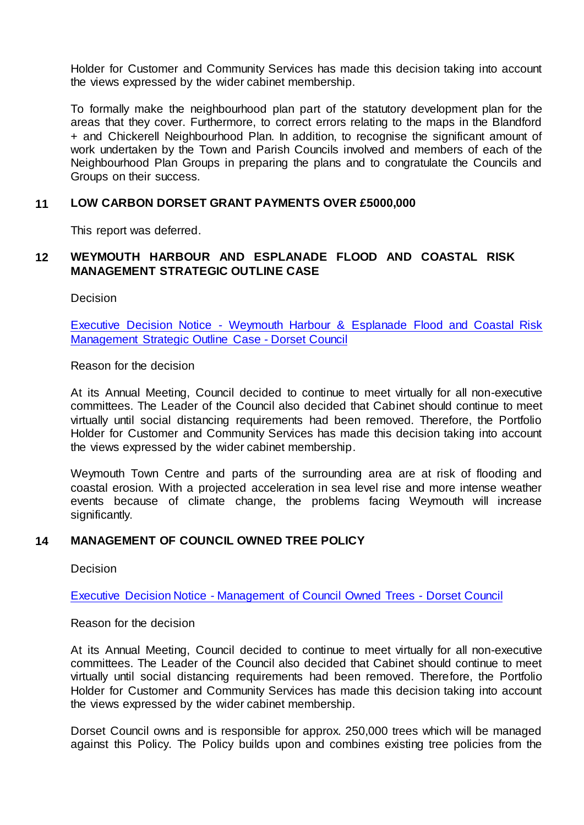Holder for Customer and Community Services has made this decision taking into account the views expressed by the wider cabinet membership.

To formally make the neighbourhood plan part of the statutory development plan for the areas that they cover. Furthermore, to correct errors relating to the maps in the Blandford + and Chickerell Neighbourhood Plan. In addition, to recognise the significant amount of work undertaken by the Town and Parish Councils involved and members of each of the Neighbourhood Plan Groups in preparing the plans and to congratulate the Councils and Groups on their success.

#### **11 LOW CARBON DORSET GRANT PAYMENTS OVER £5000,000**

This report was deferred.

### **12 WEYMOUTH HARBOUR AND ESPLANADE FLOOD AND COASTAL RISK MANAGEMENT STRATEGIC OUTLINE CASE**

Decision

Executive Decision Notice - [Weymouth Harbour & Esplanade Flood and Coastal Risk](https://moderngov.dorsetcouncil.gov.uk/ieDecisionDetails.aspx?ID=612)  [Management Strategic Outline Case -](https://moderngov.dorsetcouncil.gov.uk/ieDecisionDetails.aspx?ID=612) Dorset Council

Reason for the decision

At its Annual Meeting, Council decided to continue to meet virtually for all non-executive committees. The Leader of the Council also decided that Cabinet should continue to meet virtually until social distancing requirements had been removed. Therefore, the Portfolio Holder for Customer and Community Services has made this decision taking into account the views expressed by the wider cabinet membership.

Weymouth Town Centre and parts of the surrounding area are at risk of flooding and coastal erosion. With a projected acceleration in sea level rise and more intense weather events because of climate change, the problems facing Weymouth will increase significantly.

#### **14 MANAGEMENT OF COUNCIL OWNED TREE POLICY**

**Decision** 

Executive Decision Notice - [Management of Council Owned Trees -](http://do-modgov.wdwp.local/ieDecisionDetails.aspx?ID=614) Dorset Council

Reason for the decision

At its Annual Meeting, Council decided to continue to meet virtually for all non-executive committees. The Leader of the Council also decided that Cabinet should continue to meet virtually until social distancing requirements had been removed. Therefore, the Portfolio Holder for Customer and Community Services has made this decision taking into account the views expressed by the wider cabinet membership.

Dorset Council owns and is responsible for approx. 250,000 trees which will be managed against this Policy. The Policy builds upon and combines existing tree policies from the